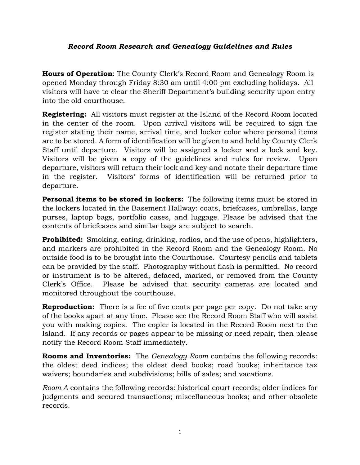## *Record Room Research and Genealogy Guidelines and Rules*

**Hours of Operation**: The County Clerk's Record Room and Genealogy Room is opened Monday through Friday 8:30 am until 4:00 pm excluding holidays. All visitors will have to clear the Sheriff Department's building security upon entry into the old courthouse.

**Registering:** All visitors must register at the Island of the Record Room located in the center of the room. Upon arrival visitors will be required to sign the register stating their name, arrival time, and locker color where personal items are to be stored. A form of identification will be given to and held by County Clerk Staff until departure. Visitors will be assigned a locker and a lock and key. Visitors will be given a copy of the guidelines and rules for review. Upon departure, visitors will return their lock and key and notate their departure time in the register. Visitors' forms of identification will be returned prior to departure.

**Personal items to be stored in lockers:** The following items must be stored in the lockers located in the Basement Hallway: coats, briefcases, umbrellas, large purses, laptop bags, portfolio cases, and luggage. Please be advised that the contents of briefcases and similar bags are subject to search.

**Prohibited:** Smoking, eating, drinking, radios, and the use of pens, highlighters, and markers are prohibited in the Record Room and the Genealogy Room. No outside food is to be brought into the Courthouse. Courtesy pencils and tablets can be provided by the staff. Photography without flash is permitted. No record or instrument is to be altered, defaced, marked, or removed from the County Clerk's Office. Please be advised that security cameras are located and monitored throughout the courthouse.

**Reproduction:** There is a fee of five cents per page per copy. Do not take any of the books apart at any time. Please see the Record Room Staff who will assist you with making copies. The copier is located in the Record Room next to the Island. If any records or pages appear to be missing or need repair, then please notify the Record Room Staff immediately.

**Rooms and Inventories:** The *Genealogy Room* contains the following records: the oldest deed indices; the oldest deed books; road books; inheritance tax waivers; boundaries and subdivisions; bills of sales; and vacations.

*Room A* contains the following records: historical court records; older indices for judgments and secured transactions; miscellaneous books; and other obsolete records.